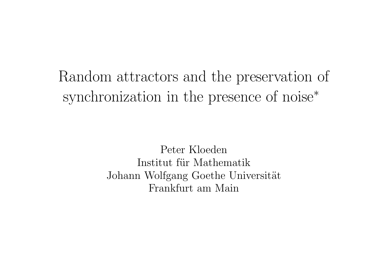# Random attractors and the preservation of synchronization in the presence of noise ∗

Peter Kloeden Institut für Mathematik Johann Wolfgang Goethe Universität Frankfurt am Main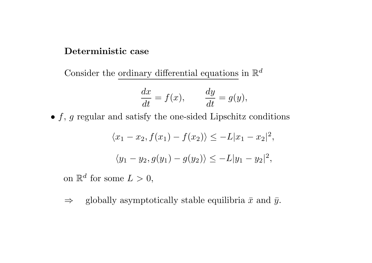## Deterministic case

Consider the ordinary differential equations in  $\mathbb{R}^d$ 

$$
\frac{dx}{dt} = f(x), \qquad \frac{dy}{dt} = g(y),
$$

•  $f, g$  regular and satisfy the one-sided Lipschitz conditions

$$
\langle x_1 - x_2, f(x_1) - f(x_2) \rangle \le -L|x_1 - x_2|^2,
$$
  

$$
\langle y_1 - y_2, g(y_1) - g(y_2) \rangle \le -L|y_1 - y_2|^2,
$$

on  $\mathbb{R}^d$  for some  $L > 0$ ,

 $\Rightarrow$  globally asymptotically stable equilibria  $\bar{x}$  and  $\bar{y}$ .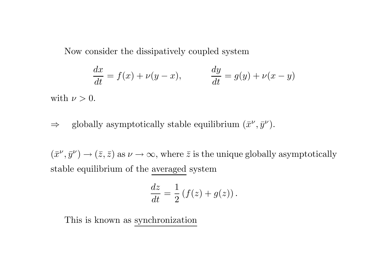Now consider the dissipatively coupled system

$$
\frac{dx}{dt} = f(x) + \nu(y - x), \qquad \frac{dy}{dt} = g(y) + \nu(x - y)
$$

with  $\nu > 0$ .

# $\Rightarrow$  globally asymptotically stable equilibrium  $(\bar{x}^{\nu}, \bar{y}^{\nu}).$

 $(\bar{x}^{\nu}, \bar{y}^{\nu}) \to (\bar{z}, \bar{z})$  as  $\nu \to \infty$ , where  $\bar{z}$  is the unique globally asymptotically stable equilibrium of the averaged system

$$
\frac{dz}{dt} = \frac{1}{2} \left( f(z) + g(z) \right).
$$

This is known as synchronization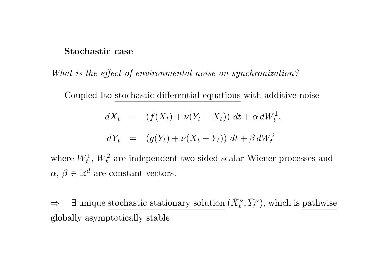#### Stochastic case

What is the effect of environmental noise on synchronization?

Coupled Ito stochastic differential equations with additive noise

$$
dX_t = (f(X_t) + \nu(Y_t - X_t)) dt + \alpha dW_t^1,
$$

$$
dY_t = (g(Y_t) + \nu(X_t - Y_t)) dt + \beta dW_t^2
$$

where  $W_t^1$ ,  $W_t^2$  are independent two-sided scalar Wiener processes and  $\alpha, \beta \in \mathbb{R}^d$  are constant vectors.

 $\Rightarrow$   $\exists$  unique stochastic stationary solution  $(\bar{X}^{\nu}_t, \bar{Y}^{\nu}_t)$ , which is pathwise globally asymptotically stable.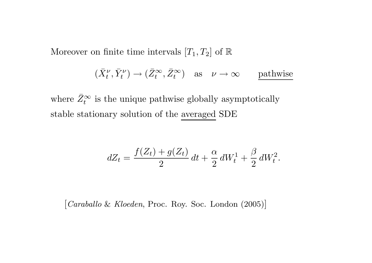Moreover on finite time intervals  $[T_1, T_2]$  of  $\mathbb R$ 

$$
(\bar{X}^{\nu}_t, \bar{Y}^{\nu}_t) \to (\bar{Z}^{\infty}_t, \bar{Z}^{\infty}_t)
$$
 as  $\nu \to \infty$  pathwise

where  $\bar{Z}_1^{\infty}$  $t_t^{\infty}$  is the unique pathwise globally asymptotically stable stationary solution of the averaged SDE

$$
dZ_t = \frac{f(Z_t) + g(Z_t)}{2} dt + \frac{\alpha}{2} dW_t^1 + \frac{\beta}{2} dW_t^2.
$$

[Caraballo & Kloeden, Proc. Roy. Soc. London (2005)]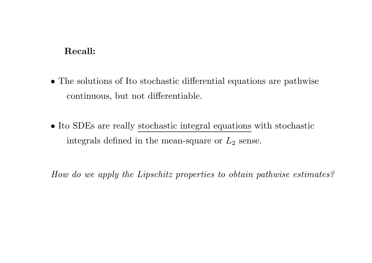# Recall:

- The solutions of Ito stochastic differential equations are pathwise continuous, but not differentiable.
- Ito SDEs are really stochastic integral equations with stochastic integrals defined in the mean-square or  $L_2$  sense.

How do we apply the Lipschitz properties to obtain pathwise estimates?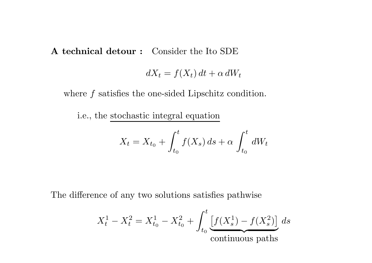A technical detour : Consider the Ito SDE

$$
dX_t = f(X_t) dt + \alpha dW_t
$$

where  $f$  satisfies the one-sided Lipschitz condition.

i.e., the stochastic integral equation

$$
X_t = X_{t_0} + \int_{t_0}^t f(X_s) \, ds + \alpha \int_{t_0}^t dW_t
$$

The difference of any two solutions satisfies pathwise

$$
X_t^1 - X_t^2 = X_{t_0}^1 - X_{t_0}^2 + \int_{t_0}^t \underbrace{[f(X_s^1) - f(X_s^2)]}_{\text{continuous paths}} ds
$$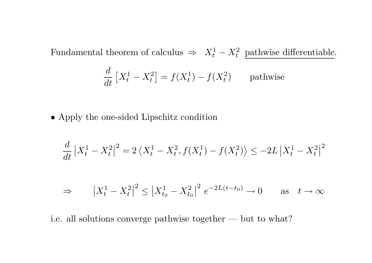Fundamental theorem of calculus  $\Rightarrow X_t^1$ t  $-X_t^2$  pathwise differentiable.  $d\,$  $dt \$ |<br>|  $X_\star^1$ t  $- X^2$  $\left[ \begin{smallmatrix} 2 \ t \end{smallmatrix} \right] = f(X^1_t)$  $\begin{bmatrix} 1 \\ 1 \end{bmatrix}$  $f(t_t^1) - f(X_t^2)$  pathwise

• Apply the one-sided Lipschitz condition

$$
\frac{d}{dt}|X_t^1 - X_t^2|^2 = 2\left\langle X_t^1 - X_t^2, f(X_t^1) - f(X_t^2) \right\rangle \le -2L|X_t^1 - X_t^2|^2
$$

$$
\Rightarrow \qquad \left| X_t^1 - X_t^2 \right|^2 \le \left| X_{t_0}^1 - X_{t_0}^2 \right|^2 \, e^{-2L(t - t_0)} \to 0 \qquad \text{as} \quad t \to \infty
$$

i.e. all solutions converge pathwise together — but to what?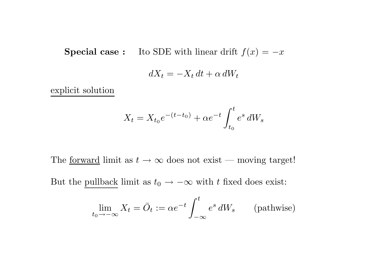**Special case :** Ito SDE with linear drift  $f(x) = -x$ 

$$
dX_t = -X_t dt + \alpha dW_t
$$

explicit solution

$$
X_t = X_{t_0}e^{-(t-t_0)} + \alpha e^{-t} \int_{t_0}^t e^s dW_s
$$

The <u>forward</u> limit as  $t \to \infty$  does not exist — moving target!

But the pullback limit as  $t_0 \rightarrow -\infty$  with t fixed does exist:

$$
\lim_{t_0 \to -\infty} X_t = \bar{O}_t := \alpha e^{-t} \int_{-\infty}^t e^s \, dW_s \qquad \text{(pathwise)}
$$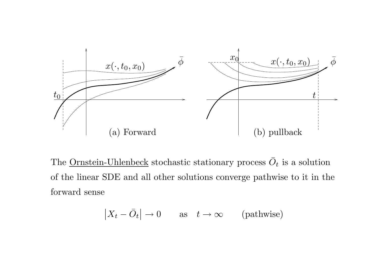

The <u>Ornstein-Uhlenbeck</u> stochastic stationary process  $\overline{O}_t$  is a solution of the linear SDE and all other solutions converge pathwise to it in the forward sense

$$
|X_t - \bar{O}_t| \to 0 \quad \text{as} \quad t \to \infty \quad (\text{pathwise})
$$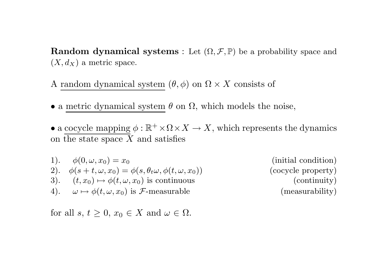**Random dynamical systems** : Let  $(\Omega, \mathcal{F}, \mathbb{P})$  be a probability space and  $(X, d_X)$  a metric space.

A random dynamical system  $(\theta, \phi)$  on  $\Omega \times X$  consists of

- a metric dynamical system  $\theta$  on  $\Omega$ , which models the noise,
- a cocycle mapping  $\phi : \mathbb{R}^+ \times \Omega \times X \to X$ , which represents the dynamics on the state space  $X$  and satisfies

\n- 1). 
$$
\phi(0, \omega, x_0) = x_0
$$
\n- 2).  $\phi(s + t, \omega, x_0) = \phi(s, \theta_t \omega, \phi(t, \omega, x_0))$
\n- 3).  $(t, x_0) \mapsto \phi(t, \omega, x_0)$  is continuous
\n- 4).  $\omega \mapsto \phi(t, \omega, x_0)$  is  $\mathcal{F}$ -measurable
\n

(initial condition) (cocycle property)  $(continuity)$  $(measurability)$ 

for all  $s, t \geq 0, x_0 \in X$  and  $\omega \in \Omega$ .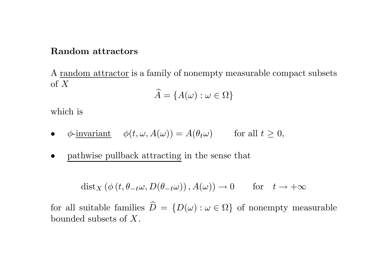#### Random attractors

A random attractor is <sup>a</sup> family of nonempty measurable compact subsets of X b

$$
\widehat{A} = \{A(\omega): \omega \in \Omega\}
$$

which is

• 
$$
\phi
$$
-invariant  $\phi(t, \omega, A(\omega)) = A(\theta_t \omega)$  for all  $t \ge 0$ ,

• pathwise pullback attracting in the sense that

$$
dist_X(\phi(t, \theta_{-t}\omega, D(\theta_{-t}\omega)), A(\omega)) \to 0 \quad \text{for} \quad t \to +\infty
$$

for all suitable families  $\widehat{D} = \{D(\omega) : \omega \in \Omega\}$  of nonempty measurable bounded subsets of X.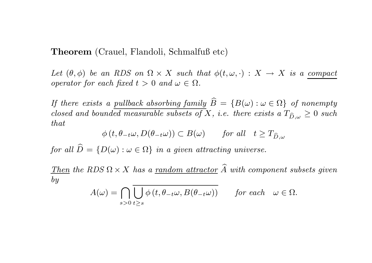Theorem (Crauel, Flandoli, Schmalfuß etc)

Let  $(\theta, \phi)$  be an RDS on  $\Omega \times X$  such that  $\phi(t, \omega, \cdot) : X \to X$  is a compact operator for each fixed  $t > 0$  and  $\omega \in \Omega$ .

If there exists a pullback absorbing family  $\widehat{B} \,=\, \{B(\omega):\omega\in\Omega\} \,$  of nonempty  $closed \ and \ bounded \ measurable \ subsets \ of \ X, \ i.e. \ there \ exists \ a \ T_{\widehat{D}, \omega} \geq 0 \ such$ that

$$
\phi(t, \theta_{-t}\omega, D(\theta_{-t}\omega)) \subset B(\omega) \quad \text{for all} \quad t \ge T_{\widehat{D}, \omega}
$$

 $for\ all\ \widehat{D}=\{D(\omega):\omega\in\Omega\}\ \ in\ a\ given\ attracting\ universe.$ 

Then the RDS  $\Omega \times X$  has a <u>random attractor</u>  $\widehat{A}$  with component subsets given by

$$
A(\omega) = \bigcap_{s>0} \overline{\bigcup_{t\geq s} \phi(t, \theta_{-t}\omega, B(\theta_{-t}\omega))} \quad \text{for each} \quad \omega \in \Omega.
$$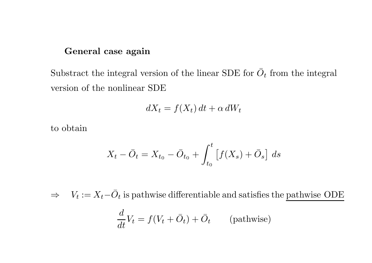## General case again

Substract the integral version of the linear SDE for  $\overline{O}_t$  from the integral version of the nonlinear SDE

$$
dX_t = f(X_t) dt + \alpha dW_t
$$

to obtain

$$
X_t - \bar{O}_t = X_{t_0} - \bar{O}_{t_0} + \int_{t_0}^t \left[ f(X_s) + \bar{O}_s \right] ds
$$

 $\Rightarrow V_t := X_t - \overline{O}_t$  is pathwise differentiable and satisfies the pathwise ODE

$$
\frac{d}{dt}V_t = f(V_t + \bar{O}_t) + \bar{O}_t \qquad \text{(pathwise)}
$$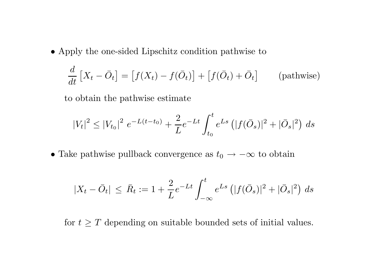• Apply the one-sided Lipschitz condition pathwise to

$$
\frac{d}{dt}\left[X_t - \bar{O}_t\right] = \left[f(X_t) - f(\bar{O}_t)\right] + \left[f(\bar{O}_t) + \bar{O}_t\right] \qquad \text{(pathwise)}
$$

to obtain the pathwise estimate

$$
|V_t|^2 \le |V_{t_0}|^2 e^{-L(t-t_0)} + \frac{2}{L} e^{-Lt} \int_{t_0}^t e^{Ls} (|f(\bar{O}_s)|^2 + |\bar{O}_s|^2) ds
$$

• Take pathwise pullback convergence as  $t_0 \rightarrow -\infty$  to obtain

$$
|X_t - \bar{O}_t| \leq \bar{R}_t := 1 + \frac{2}{L} e^{-Lt} \int_{-\infty}^t e^{Ls} (|f(\bar{O}_s)|^2 + |\bar{O}_s|^2) ds
$$

for  $t \geq T$  depending on suitable bounded sets of initial values.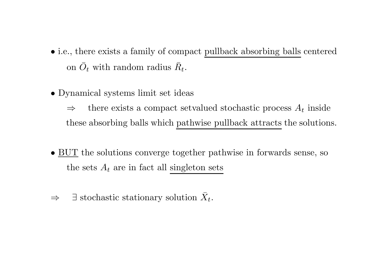- i.e., there exists <sup>a</sup> family of compact pullback absorbing balls centered on  $\bar{O}_t$  with random radius  $\bar{R}_t$ .
- Dynamical systems limit set ideas

 $\Rightarrow$  there exists a compact setvalued stochastic process  $A_t$  inside these absorbing balls which pathwise pullback attracts the solutions.

- BUT the solutions converge together pathwise in forwards sense, so the sets  $A_t$  are in fact all singleton sets
- $\Rightarrow$   $\exists$  stochastic stationary solution  $\bar{X}_t$ .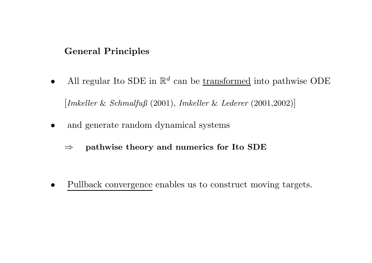# General Principles

- All regular Ito SDE in  $\mathbb{R}^d$  can be transformed into pathwise ODE [Imkeller & Schmalfuß (2001), Imkeller & Lederer (2001,2002)]
- and generate random dynamical systems
	- $\Rightarrow$  pathwise theory and numerics for Ito SDE

• Pullback convergence enables us to construct moving targets.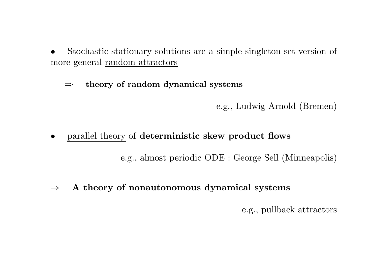- Stochastic stationary solutions are a simple singleton set version of more general random attractors
	- $\Rightarrow$  theory of random dynamical systems

e.g., Ludwig Arnold (Bremen)

• parallel theory of deterministic skew product flows

e.g., almost periodic ODE : George Sell (Minneapolis)

 $\Rightarrow$  A theory of nonautonomous dynamical systems

e.g., pullback attractors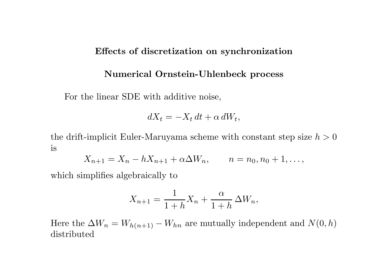#### Effects of discretization on synchronization

#### Numerical Ornstein-Uhlenbeck process

For the linear SDE with additive noise,

$$
dX_t = -X_t dt + \alpha dW_t,
$$

the drift-implicit Euler-Maruyama scheme with constant step size  $h > 0$ is

$$
X_{n+1} = X_n - hX_{n+1} + \alpha \Delta W_n, \qquad n = n_0, n_0 + 1, \dots,
$$

which simplifies algebraically to

$$
X_{n+1} = \frac{1}{1+h}X_n + \frac{\alpha}{1+h} \Delta W_n,
$$

Here the  $\Delta W_n = W_{h(n+1)} - W_{hn}$  are mutually independent and  $N(0, h)$ distributed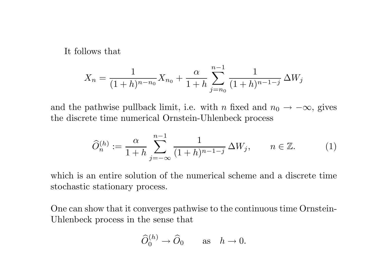It follows that

$$
X_n = \frac{1}{(1+h)^{n-n_0}} X_{n_0} + \frac{\alpha}{1+h} \sum_{j=n_0}^{n-1} \frac{1}{(1+h)^{n-1-j}} \Delta W_j
$$

and the pathwise pullback limit, i.e. with n fixed and  $n_0 \rightarrow -\infty$ , gives the discrete time numerical Ornstein-Uhlenbeck process

$$
\widehat{O}_n^{(h)} := \frac{\alpha}{1+h} \sum_{j=-\infty}^{n-1} \frac{1}{(1+h)^{n-1-j}} \Delta W_j, \qquad n \in \mathbb{Z}.
$$
 (1)

which is an entire solution of the numerical scheme and <sup>a</sup> discrete time stochastic stationary process.

One can show that it converges pathwise to the continuous time Ornstein-Uhlenbeck process in the sense that

$$
\widehat{O}_0^{(h)} \to \widehat{O}_0 \quad \text{as} \quad h \to 0.
$$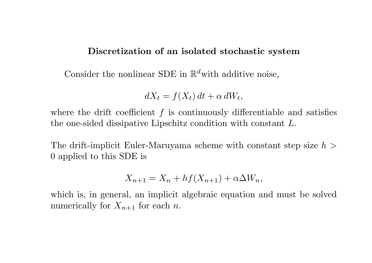## Discretization of an isolated stochastic system

Consider the nonlinear SDE in  $\mathbb{R}^d$  with additive noise,

$$
dX_t = f(X_t) dt + \alpha dW_t,
$$

where the drift coefficient  $f$  is continuously differentiable and satisfies the one-sided dissipative Lipschitz condition with constant  $L$ .

The drift-implicit Euler-Maruyama scheme with constant step size  $h >$ 0 applied to this SDE is

$$
X_{n+1} = X_n + h f(X_{n+1}) + \alpha \Delta W_n,
$$

which is, in general, an implicit algebraic equation and must be solved numerically for  $X_{n+1}$  for each n.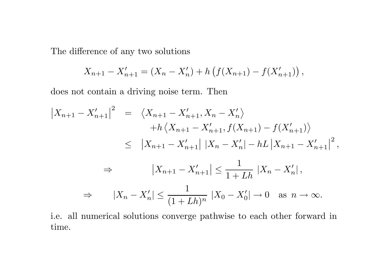The difference of any two solutions

$$
X_{n+1} - X'_{n+1} = (X_n - X'_n) + h \left( f(X_{n+1}) - f(X'_{n+1}) \right),
$$

does not contain a driving noise term. Then

$$
\begin{aligned}\n\left| X_{n+1} - X'_{n+1} \right|^2 &= \left\langle X_{n+1} - X'_{n+1}, X_n - X'_n \right\rangle \\
&\quad + h \left\langle X_{n+1} - X'_{n+1}, f(X_{n+1}) - f(X'_{n+1}) \right\rangle \\
&\leq \left| X_{n+1} - X'_{n+1} \right| \left| X_n - X'_n \right| - hL \left| X_{n+1} - X'_{n+1} \right|^2, \\
&\Rightarrow \left| X_{n+1} - X'_{n+1} \right| \leq \frac{1}{1 + Lh} \left| X_n - X'_n \right|, \\
&\Rightarrow \left| X_n - X'_n \right| \leq \frac{1}{(1 + Lh)^n} \left| X_0 - X'_0 \right| \to 0 \quad \text{as } n \to \infty.\n\end{aligned}
$$

i.e. all numerical solutions converge pathwise to each other forward in time.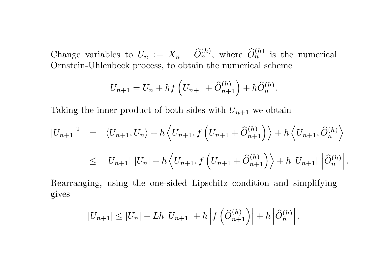Change variables to  $U_n := X_n - \widehat{O}_n^{(h)}$ , where  $\widehat{O}_n^{(h)}$  is the numerical Ornstein-Uhlenbeck process, to obtain the numerical scheme

$$
U_{n+1} = U_n + h f\left(U_{n+1} + \widehat{O}_{n+1}^{(h)}\right) + h \widehat{O}_n^{(h)}.
$$

Taking the inner product of both sides with  $U_{n+1}$  we obtain

$$
\begin{split}\n\left|U_{n+1}\right|^{2} &= \left\langle U_{n+1}, U_{n}\right\rangle + h\left\langle U_{n+1}, f\left(U_{n+1} + \widehat{O}_{n+1}^{(h)}\right)\right\rangle + h\left\langle U_{n+1}, \widehat{O}_{n}^{(h)}\right\rangle \\
&\leq \left|U_{n+1}\right| \left|U_{n}\right| + h\left\langle U_{n+1}, f\left(U_{n+1} + \widehat{O}_{n+1}^{(h)}\right)\right\rangle + h\left|U_{n+1}\right| \left|\widehat{O}_{n}^{(h)}\right|.\n\end{split}
$$

Rearranging, using the one-sided Lipschitz condition and simplifying gives

$$
|U_{n+1}| \leq |U_n| - Lh |U_{n+1}| + h \left| f\left(\widehat{O}_{n+1}^{(h)}\right) \right| + h \left| \widehat{O}_n^{(h)} \right|.
$$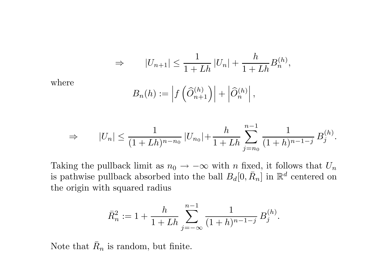$$
\Rightarrow |U_{n+1}| \le \frac{1}{1+Lh} |U_n| + \frac{h}{1+Lh} B_n^{(h)},
$$

where

$$
B_n(h) := \left| f\left(\widehat{O}_{n+1}^{(h)}\right) \right| + \left| \widehat{O}_n^{(h)} \right|,
$$

$$
\Rightarrow |U_n| \le \frac{1}{(1+Lh)^{n-n_0}} |U_{n_0}| + \frac{h}{1+Lh} \sum_{j=n_0}^{n-1} \frac{1}{(1+h)^{n-1-j}} B_j^{(h)}.
$$

Taking the pullback limit as  $n_0 \to -\infty$  with n fixed, it follows that  $U_n$ is pathwise pullback absorbed into the ball  $B_d[0, \bar{R}_n]$  in  $\mathbb{R}^d$  centered on the origin with squared radius

$$
\bar{R}_n^2 := 1 + \frac{h}{1 + Lh} \sum_{j=-\infty}^{n-1} \frac{1}{(1+h)^{n-1-j}} B_j^{(h)}.
$$

Note that  $\bar{R}_n$  is random, but finite.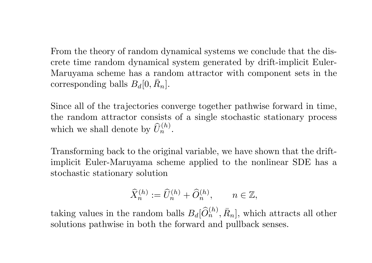From the theory of random dynamical systems we conclude that the discrete time random dynamical system generated by drift-implicit Euler-Maruyama scheme has <sup>a</sup> random attractor with component sets in the corresponding balls  $B_d[0,\bar{R}_n]$ .

Since all of the trajectories converge together pathwise forward in time, the random attractor consists of <sup>a</sup> single stochastic stationary process which we shall denote by  $\widehat{U}_n^{(h)}$ .

Transforming back to the original variable, we have shown that the driftimplicit Euler-Maruyama scheme applied to the nonlinear SDE has a stochastic stationary solution

$$
\widehat{X}_n^{(h)}:=\widehat{U}_n^{(h)}+\widehat{O}_n^{(h)},\qquad n\in\mathbb{Z},
$$

taking values in the random balls  $B_d[\widehat{O}_n^{(h)}, \bar{R}_n]$ , which attracts all other solutions pathwise in both the forward and pullback senses.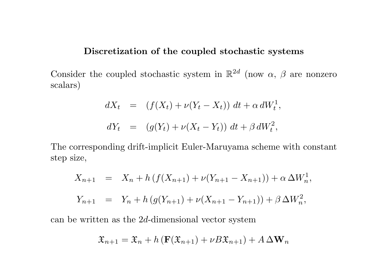#### Discretization of the coupled stochastic systems

Consider the coupled stochastic system in  $\mathbb{R}^{2d}$  (now  $\alpha$ ,  $\beta$  are nonzero scalars)

$$
dX_t = (f(X_t) + \nu(Y_t - X_t)) dt + \alpha dW_t^1,
$$
  

$$
dY_t = (g(Y_t) + \nu(X_t - Y_t)) dt + \beta dW_t^2,
$$

The corresponding drift-implicit Euler-Maruyama scheme with constant step size,

$$
X_{n+1} = X_n + h(f(X_{n+1}) + \nu(Y_{n+1} - X_{n+1})) + \alpha \Delta W_n^1,
$$
  

$$
Y_{n+1} = Y_n + h(g(Y_{n+1}) + \nu(X_{n+1} - Y_{n+1})) + \beta \Delta W_n^2,
$$

can be written as the 2 <sup>d</sup>-dimensional vector system

$$
\mathfrak{X}_{n+1} = \mathfrak{X}_n + h\left(\mathbf{F}(\mathfrak{X}_{n+1}) + \nu B \mathfrak{X}_{n+1}\right) + A \Delta \mathbf{W}_n
$$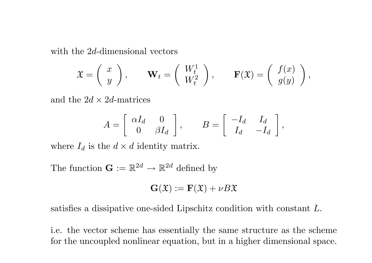with the 2d-dimensional vectors

$$
\mathfrak{X} = \begin{pmatrix} x \\ y \end{pmatrix}, \quad \mathbf{W}_t = \begin{pmatrix} W_t^1 \\ W_t^2 \end{pmatrix}, \quad \mathbf{F}(\mathfrak{X}) = \begin{pmatrix} f(x) \\ g(y) \end{pmatrix},
$$

and the  $2d \times 2d$ -matrices

$$
A = \left[ \begin{array}{cc} \alpha I_d & 0 \\ 0 & \beta I_d \end{array} \right], \qquad B = \left[ \begin{array}{cc} -I_d & I_d \\ I_d & -I_d \end{array} \right],
$$

where  $I_d$  is the  $d \times d$  identity matrix.

The function  $\mathbf{G} := \mathbb{R}^{2d} \to \mathbb{R}^{2d}$  defined by

$$
\mathbf{G}(\mathfrak{X}):=\mathbf{F}(\mathfrak{X})+\nu B\mathfrak{X}
$$

satisfies <sup>a</sup> dissipative one-sided Lipschitz condition with constant L.

i.e. the vector scheme has essentially the same structure as the scheme for the uncoupled nonlinear equation, but in a higher dimensional space.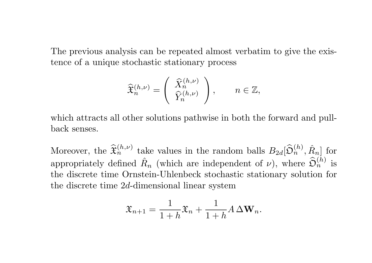The previous analysis can be repeated almost verbatim to give the existence of <sup>a</sup> unique stochastic stationary process

$$
\widehat{\mathfrak{X}}_n^{(h,\nu)}=\left(\begin{array}{c}\widehat{X}_n^{(h,\nu)}\\\widehat{Y}_n^{(h,\nu)}\end{array}\right),\qquad n\in\mathbb{Z},
$$

which attracts all other solutions pathwise in both the forward and pullback senses.

Moreover, the  $\widehat{\mathfrak{X}}_n^{(h,\nu)}$  take values in the random balls  $B_{2d}[\widehat{\mathfrak{O}}_n^{(h)},\hat{R}_n]$  for appropriately defined  $\hat{R}_n$  (which are independent of  $\nu$ ), where  $\widehat{\mathfrak{O}}_n^{(h)}$  is the discrete time Ornstein-Uhlenbeck stochastic stationary solution for the discrete time 2d-dimensional linear system

$$
\mathfrak{X}_{n+1} = \frac{1}{1+h}\mathfrak{X}_n + \frac{1}{1+h}A\,\Delta \mathbf{W}_n.
$$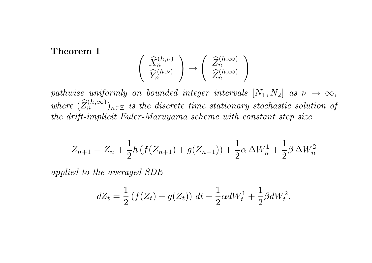Theorem 1

$$
\begin{pmatrix}\n\widehat{X}_n^{(h,\nu)} \\
\widehat{Y}_n^{(h,\nu)}\n\end{pmatrix} \rightarrow \begin{pmatrix}\n\widehat{Z}_n^{(h,\infty)} \\
\widehat{Z}_n^{(h,\infty)}\n\end{pmatrix}
$$

pathwise uniformly on bounded integer intervals  $[N_1, N_2]$  as  $\nu \to \infty$ , where  $(\widehat Z_n^{(h,\infty)})_{n\in\mathbb{Z}}$  is the discrete time stationary stochastic solution of the drift-implicit Euler-Maruyama scheme with constant step size

$$
Z_{n+1} = Z_n + \frac{1}{2}h\left(f(Z_{n+1}) + g(Z_{n+1})\right) + \frac{1}{2}\alpha \Delta W_n^1 + \frac{1}{2}\beta \Delta W_n^2
$$

applied to the averaged SDE

$$
dZ_t = \frac{1}{2} \left( f(Z_t) + g(Z_t) \right) dt + \frac{1}{2} \alpha dW_t^1 + \frac{1}{2} \beta dW_t^2.
$$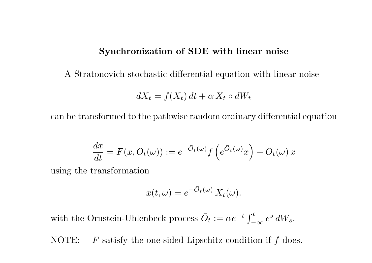#### Synchronization of SDE with linear noise

A Stratonovich stochastic differential equation with linear noise

$$
dX_t = f(X_t) dt + \alpha X_t \circ dW_t
$$

can be transformed to the pathwise random ordinary differential equation

$$
\frac{dx}{dt} = F(x, \bar{O}_t(\omega)) := e^{-\bar{O}_t(\omega)} f\left(e^{\bar{O}_t(\omega)}x\right) + \bar{O}_t(\omega) x
$$

using the transformation

$$
x(t,\omega) = e^{-\bar{O}_t(\omega)} X_t(\omega).
$$

with the Ornstein-Uhlenbeck process  $\overline{O}_t := \alpha e^{-t}$  $\int_{-}^{t}$  $\frac{e^s}{-\infty}\,e^s\,dW_s.$ 

NOTE: F satisfy the one-sided Lipschitz condition if f does.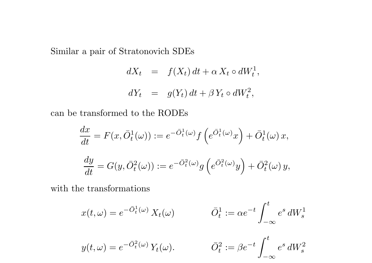Similar <sup>a</sup> pair of Stratonovich SDEs

$$
dX_t = f(X_t) dt + \alpha X_t \circ dW_t^1,
$$
  

$$
dY_t = g(Y_t) dt + \beta Y_t \circ dW_t^2,
$$

can be transformed to the RODEs

$$
\frac{dx}{dt} = F(x, \bar{O}_t^1(\omega)) := e^{-\bar{O}_t^1(\omega)} f\left(e^{\bar{O}_t^1(\omega)}x\right) + \bar{O}_t^1(\omega) x,
$$
  

$$
\frac{dy}{dt} = G(y, \bar{O}_t^2(\omega)) := e^{-\bar{O}_t^2(\omega)} g\left(e^{\bar{O}_t^2(\omega)}y\right) + \bar{O}_t^2(\omega) y,
$$

with the transformations

$$
x(t,\omega) = e^{-\bar{O}_t^1(\omega)} X_t(\omega) \qquad \qquad \bar{O}_t^1 := \alpha e^{-t} \int_{-\infty}^t e^s dW_s^1
$$

$$
y(t,\omega) = e^{-\bar{O}_t^2(\omega)} Y_t(\omega).
$$
  $\bar{O}_t^2 := \beta$ 

$$
\bar{O}_t^2:=\beta e^{-t}\int_{-\infty}^t e^s\,dW_s^2
$$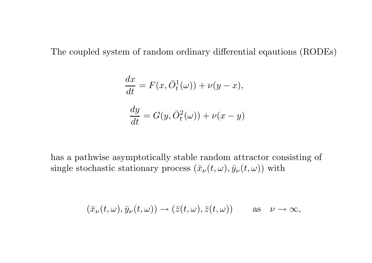The coupled system of random ordinary differential eqautions (RODEs)

$$
\frac{dx}{dt} = F(x, \bar{O}_t^1(\omega)) + \nu(y - x),
$$
  

$$
\frac{dy}{dt} = G(y, \bar{O}_t^2(\omega)) + \nu(x - y)
$$

has <sup>a</sup> pathwise asymptotically stable random attractor consisting of single stochastic stationary process  $(\bar{x}_{\nu}(t,\omega), \bar{y}_{\nu}(t,\omega))$  with

$$
(\bar{x}_{\nu}(t,\omega), \bar{y}_{\nu}(t,\omega)) \to (\bar{z}(t,\omega), \bar{z}(t,\omega)) \quad \text{as} \quad \nu \to \infty,
$$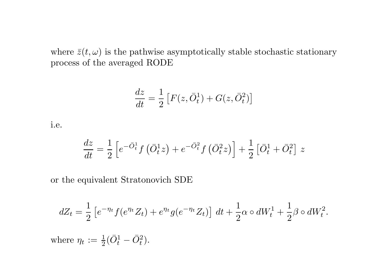where  $\bar{z}(t,\omega)$  is the pathwise asymptotically stable stochastic stationary process of the averaged RODE

$$
\frac{dz}{dt} = \frac{1}{2} \left[ F(z, \bar{O}_t^1) + G(z, \bar{O}_t^2) \right]
$$

i.e.

$$
\frac{dz}{dt} = \frac{1}{2}\left[e^{-\bar{O}_t^1}f\left(\bar{O}_t^1z\right) + e^{-\bar{O}_t^2}f\left(\bar{O}_t^2z\right)\right] + \frac{1}{2}\left[\bar{O}_t^1 + \bar{O}_t^2\right]\,z
$$

or the equivalent Stratonovich SDE

$$
dZ_t = \frac{1}{2} \left[ e^{-\eta_t} f(e^{\eta_t} Z_t) + e^{\eta_t} g(e^{-\eta_t} Z_t) \right] dt + \frac{1}{2} \alpha \circ dW_t^1 + \frac{1}{2} \beta \circ dW_t^2.
$$

where  $\eta_t := \frac{1}{2}$  $\frac{1}{2}(\bar{O}_t^1$ t  $-\,\bar O_t^2).$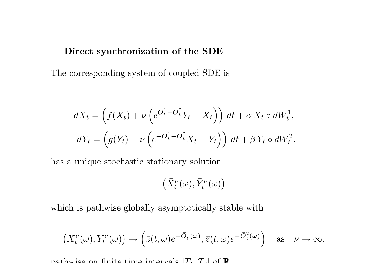#### Direct synchronization of the SDE

The corresponding system of coupled SDE is

$$
dX_t = \left(f(X_t) + \nu \left(e^{\overline{O}_t^1 - \overline{O}_t^2} Y_t - X_t\right)\right) dt + \alpha X_t \circ dW_t^1,
$$
  

$$
dY_t = \left(g(Y_t) + \nu \left(e^{-\overline{O}_t^1 + \overline{O}_t^2} X_t - Y_t\right)\right) dt + \beta Y_t \circ dW_t^2.
$$

has a unique stochastic stationary solution

$$
\big(\bar{X}^{\nu}_t(\omega),\bar{Y}^{\nu}_t(\omega)\big)
$$

which is pathwise globally asymptotically stable with

$$
\left(\bar{X}^{\nu}_t(\omega), \bar{Y}^{\nu}_t(\omega)\right) \to \left(\bar{z}(t,\omega)e^{-\bar{O}^1_t(\omega)}, \bar{z}(t,\omega)e^{-\bar{O}^2_t(\omega)}\right) \quad \text{as} \quad \nu \to \infty,
$$

pathwise on finite time intervals  $[T_1, T_2]$  of  $\mathbb R$ .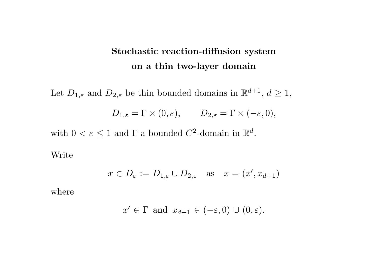# Stochastic reaction-diffusion system on <sup>a</sup> thin two-layer domain

Let  $D_{1,\varepsilon}$  and  $D_{2,\varepsilon}$  be thin bounded domains in  $\mathbb{R}^{d+1}$ ,  $d \geq 1$ ,  $D_{1,\varepsilon} = \Gamma \times (0,\varepsilon), \qquad D_{2,\varepsilon} = \Gamma \times (-\varepsilon,0),$ 

with  $0 < \varepsilon \leq 1$  and  $\Gamma$  a bounded  $C^2$ -domain in  $\mathbb{R}^d$ .

Write

$$
x \in D_{\varepsilon} := D_{1,\varepsilon} \cup D_{2,\varepsilon}
$$
 as  $x = (x', x_{d+1})$ 

where

$$
x' \in \Gamma
$$
 and  $x_{d+1} \in (-\varepsilon, 0) \cup (0, \varepsilon)$ .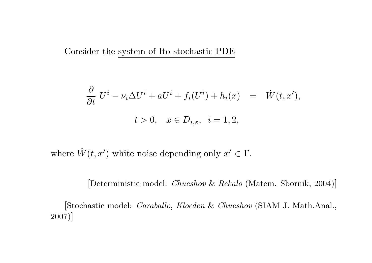Consider the system of Ito stochastic PDE

$$
\frac{\partial}{\partial t} U^i - \nu_i \Delta U^i + aU^i + f_i(U^i) + h_i(x) = \dot{W}(t, x'),
$$
  

$$
t > 0, \quad x \in D_{i, \varepsilon}, \quad i = 1, 2,
$$

where  $\dot{W}(t, x')$  white noise depending only  $x' \in \Gamma$ .

[Deterministic model: *Chueshov & Rekalo* (Matem. Sbornik, 2004)]

[Stochastic model: Caraballo, Kloeden & Chueshov (SIAM J. Math.Anal., 2007)]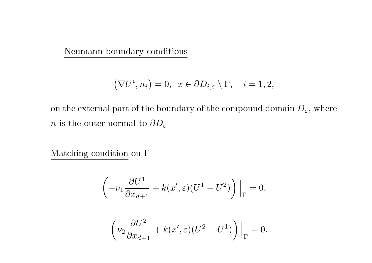Neumann boundary conditions

$$
(\nabla U^i, n_i) = 0, \ \ x \in \partial D_{i,\varepsilon} \setminus \Gamma, \quad i = 1, 2,
$$

on the external part of the boundary of the compound domain  $D_{\varepsilon}$ , where n is the outer normal to  $\partial D_{\varepsilon}$ 

Matching condition on  $\Gamma$ 

$$
\left(-\nu_1 \frac{\partial U^1}{\partial x_{d+1}} + k(x', \varepsilon)(U^1 - U^2)\right)\Big|_{\Gamma} = 0,
$$
  

$$
\left(\nu_2 \frac{\partial U^2}{\partial x_{d+1}} + k(x', \varepsilon)(U^2 - U^1)\right)\Big|_{\Gamma} = 0.
$$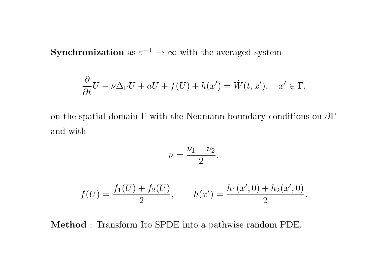**Synchronization** as  $\varepsilon^{-1} \to \infty$  with the averaged system

$$
\frac{\partial}{\partial t}U - \nu \Delta_{\Gamma} U + aU + f(U) + h(x') = \dot{W}(t, x'), \quad x' \in \Gamma,
$$

on the spatial domain  $\Gamma$  with the Neumann boundary conditions on  $\partial \Gamma$ and with

$$
\nu = \frac{\nu_1 + \nu_2}{2},
$$

$$
f(U) = \frac{f_1(U) + f_2(U)}{2}, \qquad h(x') = \frac{h_1(x', 0) + h_2(x', 0)}{2}.
$$

Method : Transform Ito SPDE into a pathwise random PDE.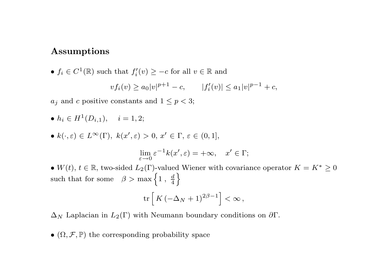#### Assumptions

•  $f_i \in C^1(\mathbb{R})$  such that  $f'_i(v) \geq -c$  for all  $v \in \mathbb{R}$  and  $v f_i(v) > a_0 |v|^{p+1} - c, \qquad |f'_i(v)| \leq a_1 |v|^{p-1} + c,$ 

 $a_j$  and c positive constants and  $1 \leq p < 3$ ;

•  $h_i \in H^1(D_{i,1}), \quad i = 1, 2;$ 

•  $k(\cdot,\varepsilon) \in L^{\infty}(\Gamma)$ ,  $k(x',\varepsilon) > 0$ ,  $x' \in \Gamma$ ,  $\varepsilon \in (0,1]$ ,

$$
\lim_{\varepsilon \to 0} \varepsilon^{-1} k(x', \varepsilon) = +\infty, \quad x' \in \Gamma;
$$

• W(t),  $t \in \mathbb{R}$ , two-sided  $L_2(\Gamma)$ -valued Wiener with covariance operator  $K = K^* \geq 0$ such that for some  $\beta > \max\left\{1, \frac{d}{4}\right\}$ 

$$
\mathrm{tr}\left[\,K\,(-\Delta_N+1)^{2\beta-1}\right]<\infty\,,
$$

 $\Delta_N$  Laplacian in  $L_2(\Gamma)$  with Neumann boundary conditions on  $\partial \Gamma$ .

•  $(\Omega, \mathcal{F}, \mathbb{P})$  the corresponding probability space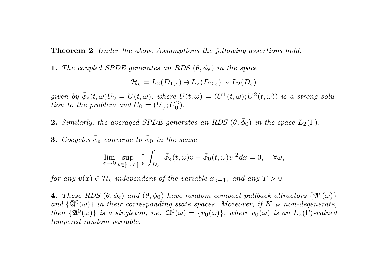**Theorem 2** Under the above Assumptions the following assertions hold.

**1.** The coupled SPDE generates an RDS  $(\theta, \bar{\phi}_{\epsilon})$  in the space

$$
\mathcal{H}_{\epsilon}=L_2(D_{1,\epsilon})\oplus L_2(D_{2,\epsilon})\sim L_2(D_{\epsilon})
$$

 $given\ \ by\ \bar{\phi}_{\epsilon}(t, \omega)U_0=U(t, \omega),\ where\ \ U(t, \omega)=(U^1(t, \omega); U^2(t, \omega))\ \ is\ \ a\ \ strong\ \ solu$ tion to the problem and  $U_0 = (U_0^1)$  $\substack{+1\0}, U_0^2$  $\binom{2}{0}$ .

- **2.** Similarly, the averaged SPDE generates an RDS  $(\theta, \bar{\phi}_0)$  in the space  $L_2(\Gamma)$ .
- **3.** Cocycles  $\bar{\phi}_{\epsilon}$  converge to  $\bar{\phi}_0$  in the sense

$$
\lim_{\epsilon \to 0} \sup_{t \in [0,T]} \frac{1}{\epsilon} \int_{D_{\epsilon}} |\bar{\phi}_{\epsilon}(t,\omega)v - \bar{\phi}_0(t,\omega)v|^2 dx = 0, \quad \forall \omega,
$$

for any  $v(x) \in \mathcal{H}_{\epsilon}$  independent of the variable  $x_{d+1}$ , and any  $T > 0$ .

4. These RDS  $(\theta, \bar{\phi}_{\epsilon})$  and  $(\theta, \bar{\phi}_{0})$  have random compact pullback attractors  $\{\bar{\mathfrak{A}}^{\epsilon}(\omega)\}$ and  $\{\bar{\mathfrak A}^0(\omega)\}$  in their corresponding state spaces. Moreover, if  $K$  is non-degenerate,  $then\,\,\{\bar{\mathfrak A}^0(\omega)\}\,\,is\,\,a\,\,singleton,\,\,i.e.\,\,\,\bar{\mathfrak A}^0(\omega)=\{\bar v_0(\omega)\},\,\,where\,\,\bar v_0(\omega)\,\,is\,\,an\,\,L_2(\Gamma)\text{-valued}$ tempered random variable.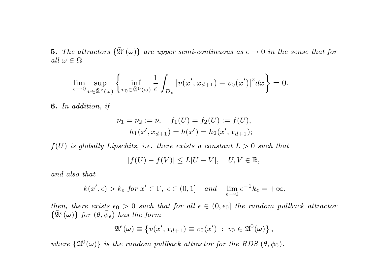**5.** The attractors  $\{\bar{\mathfrak{A}}^{\epsilon}(\omega)\}\)$  are upper semi-continuous as  $\epsilon \to 0$  in the sense that for all  $\omega \in \Omega$ 

$$
\lim_{\epsilon \to 0} \sup_{v \in \bar{\mathfrak{A}}^{\epsilon}(\omega)} \left\{ \inf_{v_0 \in \bar{\mathfrak{A}}^0(\omega)} \frac{1}{\epsilon} \int_{D_{\epsilon}} |v(x', x_{d+1}) - v_0(x')|^2 dx \right\} = 0.
$$

6. In addition, if

$$
\nu_1 = \nu_2 := \nu, \quad f_1(U) = f_2(U) := f(U),
$$
  
\n
$$
h_1(x', x_{d+1}) = h(x') = h_2(x', x_{d+1});
$$

 $f(U)$  is globally Lipschitz, i.e. there exists a constant  $L > 0$  such that

$$
|f(U) - f(V)| \le L|U - V|, \quad U, V \in \mathbb{R},
$$

and also that

$$
k(x', \epsilon) > k_{\epsilon}
$$
 for  $x' \in \Gamma$ ,  $\epsilon \in (0, 1]$  and  $\lim_{\epsilon \to 0} \epsilon^{-1} k_{\epsilon} = +\infty$ ,

then, there exists  $\epsilon_0 > 0$  such that for all  $\epsilon \in (0, \epsilon_0]$  the random pullback attractor  $\{\bar{\mathfrak{A}}^{\epsilon}(\omega)\}\;for\;(\theta,\bar{\phi}_{\epsilon})\;has\;the\;form$ 

$$
\bar{\mathfrak{A}}^{\epsilon}(\omega) \equiv \{v(x', x_{d+1}) \equiv v_0(x') : v_0 \in \bar{\mathfrak{A}}^0(\omega)\},
$$

where  $\{\bar{\mathfrak{A}}^0(\omega)\}\$ is the random pullback attractor for the RDS  $(\theta, \bar{\phi}_0)$ .